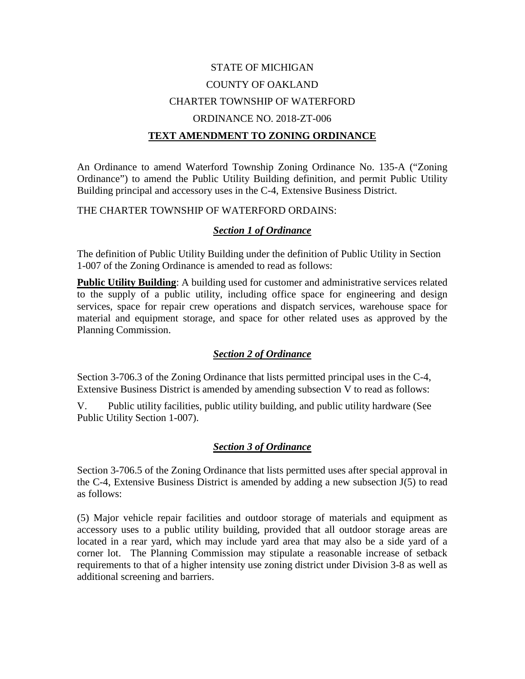# STATE OF MICHIGAN COUNTY OF OAKLAND CHARTER TOWNSHIP OF WATERFORD ORDINANCE NO. 2018-ZT-006 **TEXT AMENDMENT TO ZONING ORDINANCE**

An Ordinance to amend Waterford Township Zoning Ordinance No. 135-A ("Zoning Ordinance") to amend the Public Utility Building definition, and permit Public Utility Building principal and accessory uses in the C-4, Extensive Business District.

#### THE CHARTER TOWNSHIP OF WATERFORD ORDAINS:

## *Section 1 of Ordinance*

The definition of Public Utility Building under the definition of Public Utility in Section 1-007 of the Zoning Ordinance is amended to read as follows:

**Public Utility Building:** A building used for customer and administrative services related to the supply of a public utility, including office space for engineering and design services, space for repair crew operations and dispatch services, warehouse space for material and equipment storage, and space for other related uses as approved by the Planning Commission.

## *Section 2 of Ordinance*

Section 3-706.3 of the Zoning Ordinance that lists permitted principal uses in the C-4, Extensive Business District is amended by amending subsection V to read as follows:

V. Public utility facilities, public utility building, and public utility hardware (See Public Utility Section 1-007).

## *Section 3 of Ordinance*

Section 3-706.5 of the Zoning Ordinance that lists permitted uses after special approval in the C-4, Extensive Business District is amended by adding a new subsection J(5) to read as follows:

(5) Major vehicle repair facilities and outdoor storage of materials and equipment as accessory uses to a public utility building, provided that all outdoor storage areas are located in a rear yard, which may include yard area that may also be a side yard of a corner lot. The Planning Commission may stipulate a reasonable increase of setback requirements to that of a higher intensity use zoning district under Division 3-8 as well as additional screening and barriers.